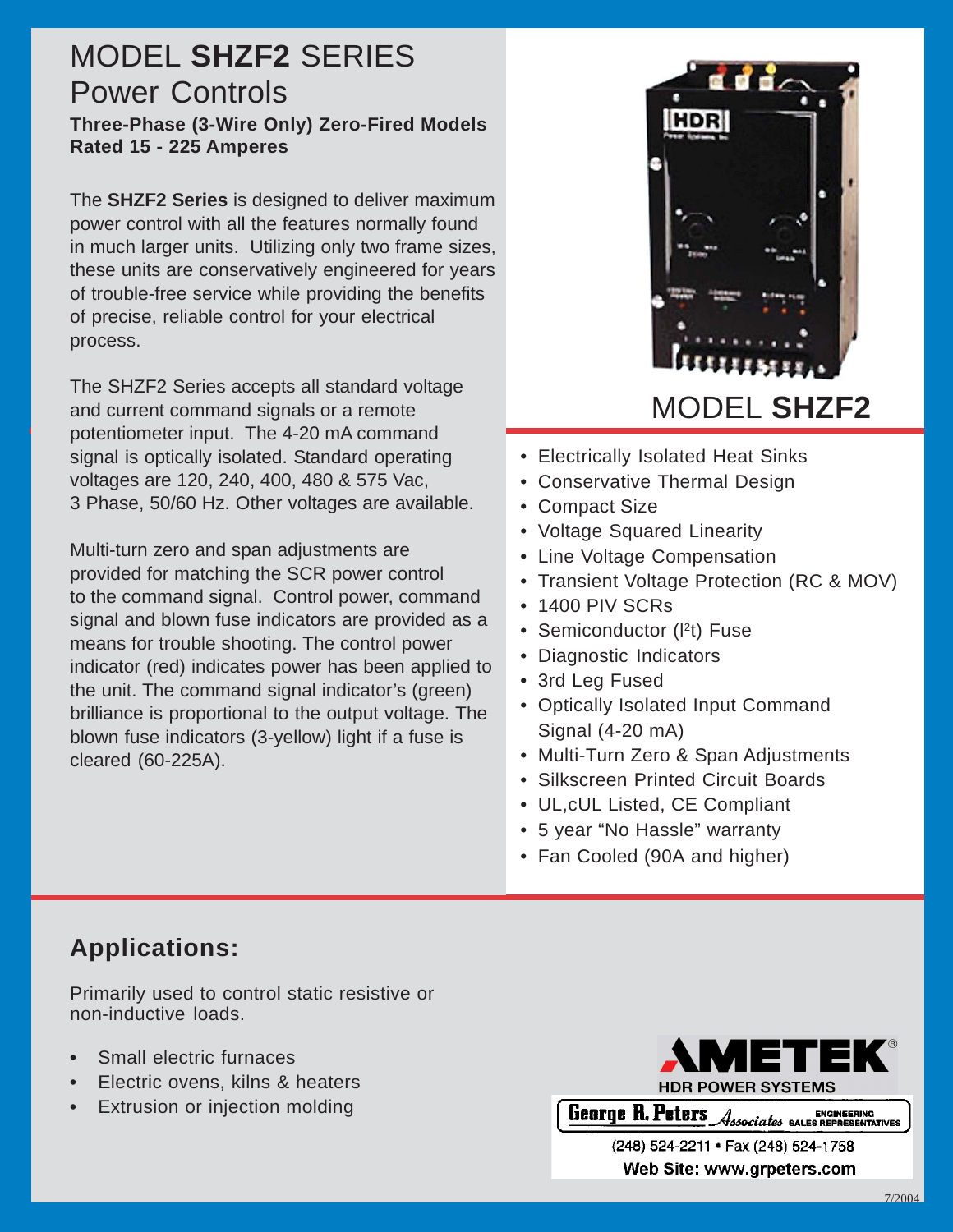# MODEL **SHZF2** SERIES Power Controls

**Three-Phase (3-Wire Only) Zero-Fired Models Rated 15 - 225 Amperes**

The **SHZF2 Series** is designed to deliver maximum power control with all the features normally found in much larger units. Utilizing only two frame sizes, these units are conservatively engineered for years of trouble-free service while providing the benefits of precise, reliable control for your electrical process.

The SHZF2 Series accepts all standard voltage and current command signals or a remote potentiometer input. The 4-20 mA command signal is optically isolated. Standard operating voltages are 120, 240, 400, 480 & 575 Vac, 3 Phase, 50/60 Hz. Other voltages are available.

Multi-turn zero and span adjustments are provided for matching the SCR power control to the command signal. Control power, command signal and blown fuse indicators are provided as a means for trouble shooting. The control power indicator (red) indicates power has been applied to the unit. The command signal indicator's (green) brilliance is proportional to the output voltage. The blown fuse indicators (3-yellow) light if a fuse is cleared (60-225A).



- Electrically Isolated Heat Sinks
- Conservative Thermal Design
- Compact Size
- Voltage Squared Linearity
- Line Voltage Compensation
- Transient Voltage Protection (RC & MOV)
- 1400 PIV SCRs
- Semiconductor (I<sup>2</sup>t) Fuse
- Diagnostic Indicators
- 3rd Leg Fused
- Optically Isolated Input Command Signal (4-20 mA)
- Multi-Turn Zero & Span Adjustments
- Silkscreen Printed Circuit Boards
- UL,cUL Listed, CE Compliant
- 5 year "No Hassle" warranty
- Fan Cooled (90A and higher)

# **Applications:**

Primarily used to control static resistive or non-inductive loads.

- **•** Small electric furnaces
- **•** Electric ovens, kilns & heaters
- **•** Extrusion or injection molding



**Tology / ENGINEEDING 1-888-888-885-888-888-888-888-888-888** 

> (248) 524-2211 · Fax (248) 524-1758 Web Site: www.grpeters.com